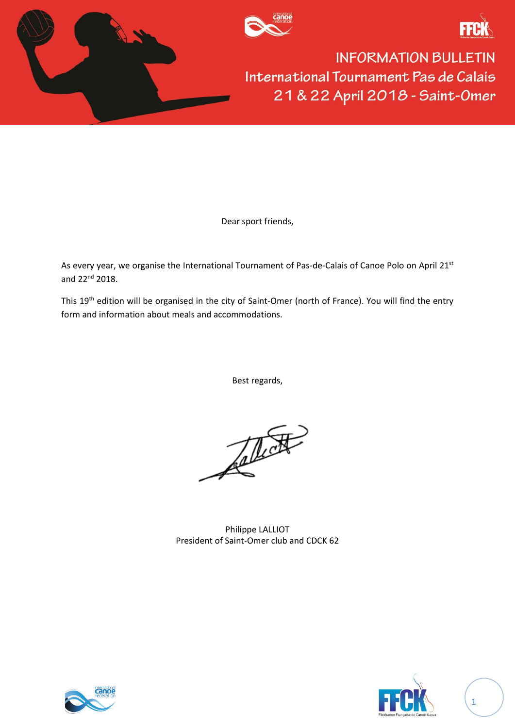





Dear sport friends,

As every year, we organise the International Tournament of Pas-de-Calais of Canoe Polo on April 21<sup>st</sup> and 22<sup>nd</sup> 2018.

This 19<sup>th</sup> edition will be organised in the city of Saint-Omer (north of France). You will find the entry form and information about meals and accommodations.

Best regards,

The

Philippe LALLIOT President of Saint-Omer club and CDCK 62





1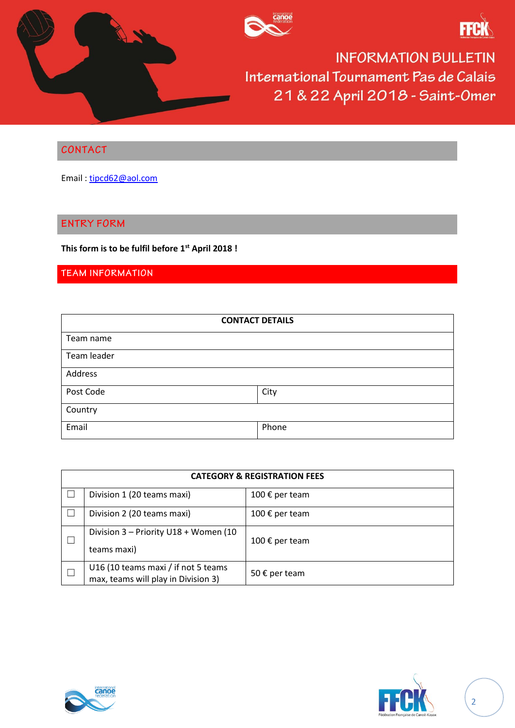





### CONTACT

Email : [tipcd62@aol.com](mailto:tipcd62@aol.com)

#### **ENTRY FORM**

**This form is to be fulfil before 1 st April 2018 !**

# TEAM INFORMATION

| <b>CONTACT DETAILS</b> |       |  |  |
|------------------------|-------|--|--|
| Team name              |       |  |  |
| Team leader            |       |  |  |
| Address                |       |  |  |
| Post Code              | City  |  |  |
| Country                |       |  |  |
| Email                  | Phone |  |  |

| <b>CATEGORY &amp; REGISTRATION FEES</b> |                                                                            |                |  |
|-----------------------------------------|----------------------------------------------------------------------------|----------------|--|
|                                         | Division 1 (20 teams maxi)                                                 | 100 € per team |  |
|                                         | Division 2 (20 teams maxi)                                                 | 100 € per team |  |
|                                         | Division 3 - Priority U18 + Women (10<br>teams maxi)                       | 100 € per team |  |
|                                         | U16 (10 teams maxi / if not 5 teams<br>max, teams will play in Division 3) | 50 € per team  |  |



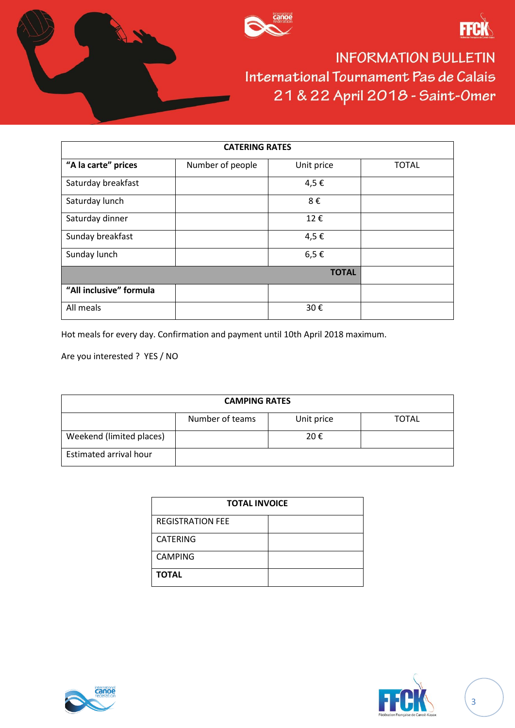





| <b>CATERING RATES</b>   |                  |            |              |
|-------------------------|------------------|------------|--------------|
| "A la carte" prices     | Number of people | Unit price | <b>TOTAL</b> |
| Saturday breakfast      |                  | 4,5€       |              |
| Saturday lunch          |                  | 8€         |              |
| Saturday dinner         |                  | 12€        |              |
| Sunday breakfast        |                  | 4,5€       |              |
| Sunday lunch            |                  | $6,5 \in$  |              |
| <b>TOTAL</b>            |                  |            |              |
| "All inclusive" formula |                  |            |              |
| All meals               |                  | 30€        |              |

Hot meals for every day. Confirmation and payment until 10th April 2018 maximum.

Are you interested ? YES / NO

| <b>CAMPING RATES</b>     |                 |            |       |
|--------------------------|-----------------|------------|-------|
|                          | Number of teams | Unit price | TOTAL |
| Weekend (limited places) |                 | 20€        |       |
| Estimated arrival hour   |                 |            |       |

| <b>TOTAL INVOICE</b>    |  |  |
|-------------------------|--|--|
| <b>REGISTRATION FEE</b> |  |  |
| <b>CATERING</b>         |  |  |
| <b>CAMPING</b>          |  |  |
| <b>TOTAL</b>            |  |  |



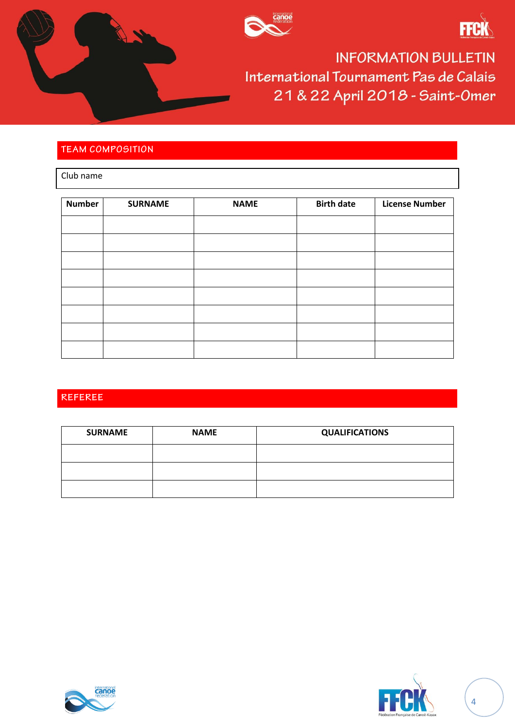





## **TEAM COMPOSITION**

Club name

| <b>Number</b> | <b>SURNAME</b> | <b>NAME</b> | <b>Birth date</b> | <b>License Number</b> |
|---------------|----------------|-------------|-------------------|-----------------------|
|               |                |             |                   |                       |
|               |                |             |                   |                       |
|               |                |             |                   |                       |
|               |                |             |                   |                       |
|               |                |             |                   |                       |
|               |                |             |                   |                       |
|               |                |             |                   |                       |
|               |                |             |                   |                       |

## REFEREE

| <b>SURNAME</b> | <b>NAME</b> | <b>QUALIFICATIONS</b> |
|----------------|-------------|-----------------------|
|                |             |                       |
|                |             |                       |
|                |             |                       |